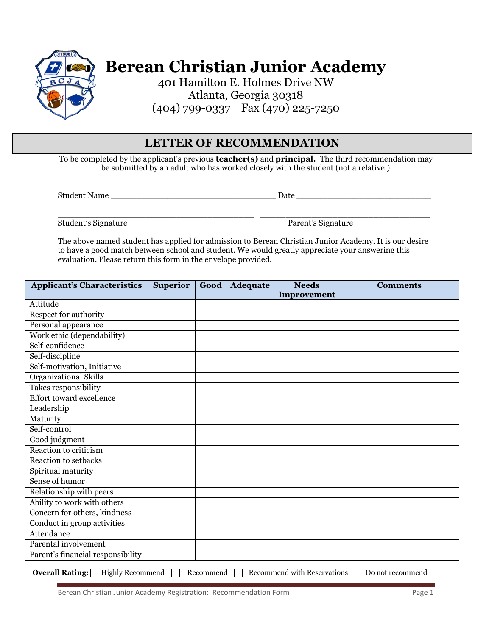

**Berean Christian Junior Academy**

401 Hamilton E. Holmes Drive NW Atlanta, Georgia 30318 (404) 799-0337 Fax (470) 225-7250

## **LETTER OF RECOMMENDATION**

To be completed by the applicant's previous **teacher(s)** and **principal.** The third recommendation may be submitted by an adult who has worked closely with the student (not a relative.)

Student Name \_\_\_\_\_\_\_\_\_\_\_\_\_\_\_\_\_\_\_\_\_\_\_\_\_\_\_\_\_\_\_\_ Date \_\_\_\_\_\_\_\_\_\_\_\_\_\_\_\_\_\_\_\_\_\_\_\_\_\_

Student's Signature Parent's Signature

The above named student has applied for admission to Berean Christian Junior Academy. It is our desire to have a good match between school and student. We would greatly appreciate your answering this evaluation. Please return this form in the envelope provided.

 $\_$  ,  $\_$  ,  $\_$  ,  $\_$  ,  $\_$  ,  $\_$  ,  $\_$  ,  $\_$  ,  $\_$  ,  $\_$  ,  $\_$  ,  $\_$  ,  $\_$  ,  $\_$  ,  $\_$  ,  $\_$  ,  $\_$  ,  $\_$  ,  $\_$  ,  $\_$  ,  $\_$  ,  $\_$  ,  $\_$  ,  $\_$  ,  $\_$  ,  $\_$  ,  $\_$  ,  $\_$  ,  $\_$  ,  $\_$  ,  $\_$  ,  $\_$  ,  $\_$  ,  $\_$  ,  $\_$  ,  $\_$  ,  $\_$  ,

| <b>Applicant's Characteristics</b> | <b>Superior</b> | Good | <b>Adequate</b> | <b>Needs</b> | <b>Comments</b> |
|------------------------------------|-----------------|------|-----------------|--------------|-----------------|
|                                    |                 |      |                 | Improvement  |                 |
| Attitude                           |                 |      |                 |              |                 |
| Respect for authority              |                 |      |                 |              |                 |
| Personal appearance                |                 |      |                 |              |                 |
| Work ethic (dependability)         |                 |      |                 |              |                 |
| Self-confidence                    |                 |      |                 |              |                 |
| Self-discipline                    |                 |      |                 |              |                 |
| Self-motivation, Initiative        |                 |      |                 |              |                 |
| <b>Organizational Skills</b>       |                 |      |                 |              |                 |
| Takes responsibility               |                 |      |                 |              |                 |
| <b>Effort toward excellence</b>    |                 |      |                 |              |                 |
| Leadership                         |                 |      |                 |              |                 |
| Maturity                           |                 |      |                 |              |                 |
| Self-control                       |                 |      |                 |              |                 |
| Good judgment                      |                 |      |                 |              |                 |
| Reaction to criticism              |                 |      |                 |              |                 |
| Reaction to setbacks               |                 |      |                 |              |                 |
| Spiritual maturity                 |                 |      |                 |              |                 |
| Sense of humor                     |                 |      |                 |              |                 |
| Relationship with peers            |                 |      |                 |              |                 |
| Ability to work with others        |                 |      |                 |              |                 |
| Concern for others, kindness       |                 |      |                 |              |                 |
| Conduct in group activities        |                 |      |                 |              |                 |
| Attendance                         |                 |      |                 |              |                 |
| Parental involvement               |                 |      |                 |              |                 |
| Parent's financial responsibility  |                 |      |                 |              |                 |

**Overall Rating:** Highly Recommend Recommend Recommend With Reservations Do not recommend